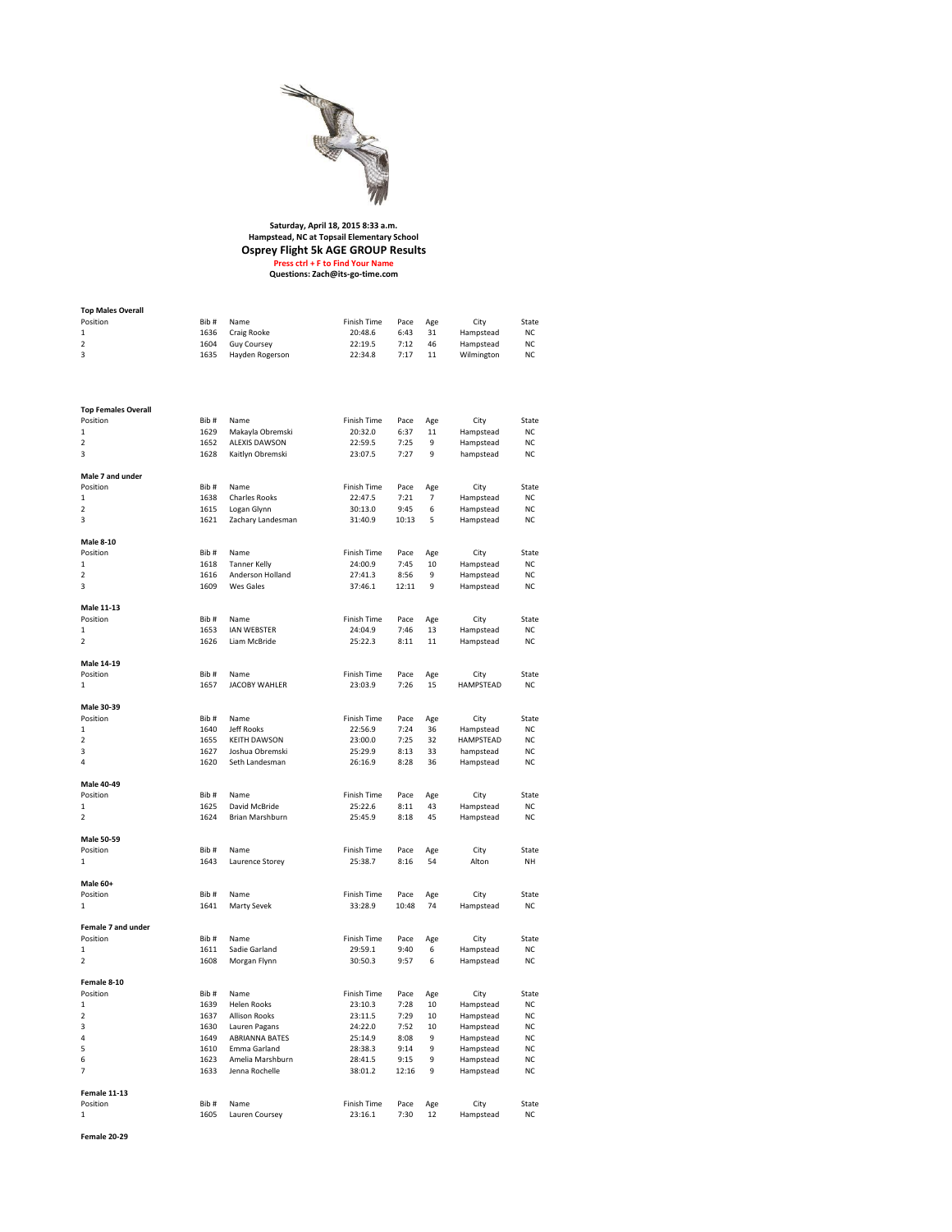

## **Saturday, April 18, 2015 8:33 a.m. Hampstead, NC at Topsail Elementary School Osprey Flight 5k AGE GROUP Results Press ctrl + F to Find Your Name Questions: Zach@its-go-time.com**

| <b>Top Males Overall</b>     |               |                        |                        |              |           |                   |       |
|------------------------------|---------------|------------------------|------------------------|--------------|-----------|-------------------|-------|
| Position                     | Bib#          | Name                   | Finish Time            | Pace         | Age       | City              | State |
| 1                            | 1636          | Craig Rooke            | 20:48.6                | 6:43         | 31        | Hampstead         | NC    |
| $\overline{\mathbf{2}}$      | 1604          | Guy Coursey            | 22:19.5                | 7:12         | 46        | Hampstead         | NC    |
| 3                            | 1635          | Hayden Rogerson        | 22:34.8                | 7:17         | 11        | Wilmington        | NC    |
|                              |               |                        |                        |              |           |                   |       |
| <b>Top Females Overall</b>   |               |                        |                        |              |           |                   |       |
| Position                     | Bib#          | Name                   | Finish Time            | Pace         | Age       | City              | State |
| 1                            | 1629          | Makayla Obremski       | 20:32.0                | 6:37         | 11        | Hampstead         | NC    |
| $\mathbf 2$                  | 1652          | <b>ALEXIS DAWSON</b>   | 22:59.5                | 7:25         | 9         | Hampstead         | NC    |
| 3                            | 1628          | Kaitlyn Obremski       | 23:07.5                | 7:27         | 9         | hampstead         | NC    |
|                              |               |                        |                        |              |           |                   |       |
| Male 7 and under<br>Position | Bib #         | Name                   | Finish Time            | Pace         | Age       | City              | State |
| 1                            | 1638          | <b>Charles Rooks</b>   | 22:47.5                | 7:21         | 7         | Hampstead         | NC    |
| 2                            | 1615          | Logan Glynn            | 30:13.0                | 9:45         | 6         | Hampstead         | NC    |
| 3                            | 1621          | Zachary Landesman      | 31:40.9                | 10:13        | 5         | Hampstead         | NC    |
|                              |               |                        |                        |              |           |                   |       |
| <b>Male 8-10</b>             |               |                        |                        |              |           |                   |       |
| Position                     | Bib #         | Name                   | Finish Time            | Pace         | Age       | City              | State |
| 1                            | 1618          | <b>Tanner Kelly</b>    | 24:00.9                | 7:45         | 10        | Hampstead         | NC    |
| $\overline{2}$               | 1616          | Anderson Holland       | 27:41.3                | 8:56         | 9         | Hampstead         | NC    |
| 3                            | 1609          | Wes Gales              | 37:46.1                | 12:11        | 9         | Hampstead         | NC    |
|                              |               |                        |                        |              |           |                   |       |
| Male 11-13                   |               |                        |                        |              |           |                   |       |
| Position                     | Bib#          | Name                   | Finish Time            | Pace         | Age       | City              | State |
| 1                            | 1653          | <b>IAN WEBSTER</b>     | 24:04.9                | 7:46         | 13        | Hampstead         | NC    |
| 2                            | 1626          | Liam McBride           | 25:22.3                | 8:11         | 11        | Hampstead         | NC    |
|                              |               |                        |                        |              |           |                   |       |
| Male 14-19                   |               |                        |                        |              |           |                   |       |
| Position                     | Bib #         | Name                   | Finish Time            | Pace         | Age       | City              | State |
| 1                            | 1657          | <b>JACOBY WAHLER</b>   | 23:03.9                | 7:26         | 15        | HAMPSTEAD         | NC    |
|                              |               |                        |                        |              |           |                   |       |
| Male 30-39                   |               |                        |                        |              |           |                   |       |
| Position                     | Bib#          | Name                   | Finish Time            | Pace         | Age       | City              | State |
| $\mathbf{1}$                 | 1640          | Jeff Rooks             | 22:56.9                | 7:24         | 36        | Hampstead         | NC    |
| 2                            | 1655          | <b>KEITH DAWSON</b>    | 23:00.0                | 7:25         | 32        | HAMPSTEAD         | NC    |
| 3                            | 1627          | Joshua Obremski        | 25:29.9                | 8:13         | 33        | hampstead         | NC    |
| $\overline{4}$               | 1620          | Seth Landesman         | 26:16.9                | 8:28         | 36        | Hampstead         | NC    |
|                              |               |                        |                        |              |           |                   |       |
| Male 40-49                   |               |                        |                        |              |           |                   |       |
| Position                     | Bib #         | Name                   | Finish Time            | Pace         | Age       | City              | State |
| 1                            | 1625          | David McBride          | 25:22.6                | 8:11         | 43        | Hampstead         | NC    |
| $\overline{\mathbf{2}}$      | 1624          | Brian Marshburn        | 25:45.9                | 8:18         | 45        | Hampstead         | NC    |
| Male 50-59                   |               |                        |                        |              |           |                   |       |
| Position                     | Bib#          | Name                   | Finish Time            | Pace         | Age       | City              | State |
| 1                            | 1643          | Laurence Storey        | 25:38.7                | 8:16         | 54        | Alton             | NΗ    |
|                              |               |                        |                        |              |           |                   |       |
| Male 60+                     |               |                        |                        |              |           |                   |       |
| Position                     | Bib#          | Name                   | Finish Time            | Pace         | Age       | City              | State |
| 1                            | 1641          | Marty Sevek            | 33:28.9                | 10:48        | 74        | Hampstead         | NC    |
|                              |               |                        |                        |              |           |                   |       |
| Female 7 and under           |               |                        |                        |              |           |                   |       |
| Position                     | Bib #         | Name                   | Finish Time            | Pace         | Age       | City              | State |
| 1                            | 1611          | Sadie Garland          | 29:59.1                | 9:40         | 6         | Hampstead         | NC    |
| $\overline{2}$               | 1608          | Morgan Flynn           | 30:50.3                | 9:57         | 6         | Hampstead         | NC    |
|                              |               |                        |                        |              |           |                   |       |
| Female 8-10                  |               |                        |                        |              |           |                   |       |
| Position                     | Bib #         | Name                   | Finish Time            | Pace         | Age       | City              | State |
| ı                            | 1939          | Helen Rooks            | 23:10.3                | 7:28         | 10        | Hampstead         | NС.   |
| 2                            | 1637          | <b>Allison Rooks</b>   | 23:11.5                | 7:29         | 10        | Hampstead         | NC    |
| 3                            | 1630          | Lauren Pagans          | 24:22.0                | 7:52         | 10        | Hampstead         | NC    |
| 4                            | 1649          | ABRIANNA BATES         | 25:14.9                | 8:08         | 9         | Hampstead         | NC    |
| 5                            | 1610          | Emma Garland           | 28:38.3                | 9:14         | 9         | Hampstead         | NC    |
| 6                            | 1623          | Amelia Marshburn       | 28:41.5                | 9:15         | 9         | Hampstead         | NC    |
| 7                            | 1633          | Jenna Rochelle         | 38:01.2                | 12:16        | 9         | Hampstead         | NC    |
|                              |               |                        |                        |              |           |                   |       |
| Female 11-13<br>Position     |               |                        |                        |              |           |                   | State |
| 1                            | Bib #<br>1605 | Name<br>Lauren Coursey | Finish Time<br>23:16.1 | Pace<br>7:30 | Age<br>12 | City<br>Hampstead | NC    |
|                              |               |                        |                        |              |           |                   |       |
| Female 20-29                 |               |                        |                        |              |           |                   |       |
|                              |               |                        |                        |              |           |                   |       |